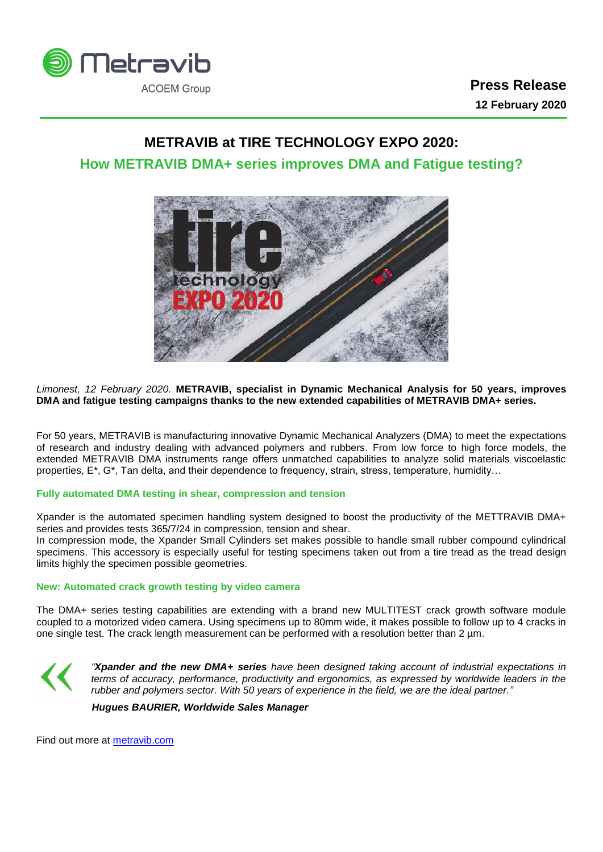

# **METRAVIB at TIRE TECHNOLOGY EXPO 2020:**

## **How METRAVIB DMA+ series improves DMA and Fatigue testing?**



*Limonest, 12 February 2020.* **METRAVIB, specialist in Dynamic Mechanical Analysis for 50 years, improves DMA and fatigue testing campaigns thanks to the new extended capabilities of METRAVIB DMA+ series.**

For 50 years, METRAVIB is manufacturing innovative Dynamic Mechanical Analyzers (DMA) to meet the expectations of research and industry dealing with advanced polymers and rubbers. From low force to high force models, the extended METRAVIB DMA instruments range offers unmatched capabilities to analyze solid materials viscoelastic properties, E\*, G\*, Tan delta, and their dependence to frequency, strain, stress, temperature, humidity…

### **Fully automated DMA testing in shear, compression and tension**

Xpander is the automated specimen handling system designed to boost the productivity of the METTRAVIB DMA+ series and provides tests 365/7/24 in compression, tension and shear.

In compression mode, the Xpander Small Cylinders set makes possible to handle small rubber compound cylindrical specimens. This accessory is especially useful for testing specimens taken out from a tire tread as the tread design limits highly the specimen possible geometries.

### **New: Automated crack growth testing by video camera**

The DMA+ series testing capabilities are extending with a brand new MULTITEST crack growth software module coupled to a motorized video camera. Using specimens up to 80mm wide, it makes possible to follow up to 4 cracks in one single test. The crack length measurement can be performed with a resolution better than 2  $\mu$ m.



*"Xpander and the new DMA+ series have been designed taking account of industrial expectations in terms of accuracy, performance, productivity and ergonomics, as expressed by worldwide leaders in the rubber and polymers sector. With 50 years of experience in the field, we are the ideal partner."*

 *Hugues BAURIER, Worldwide Sales Manager*

Find out more at [metravib.com](http://metravib.acoemgroup.com/dma)